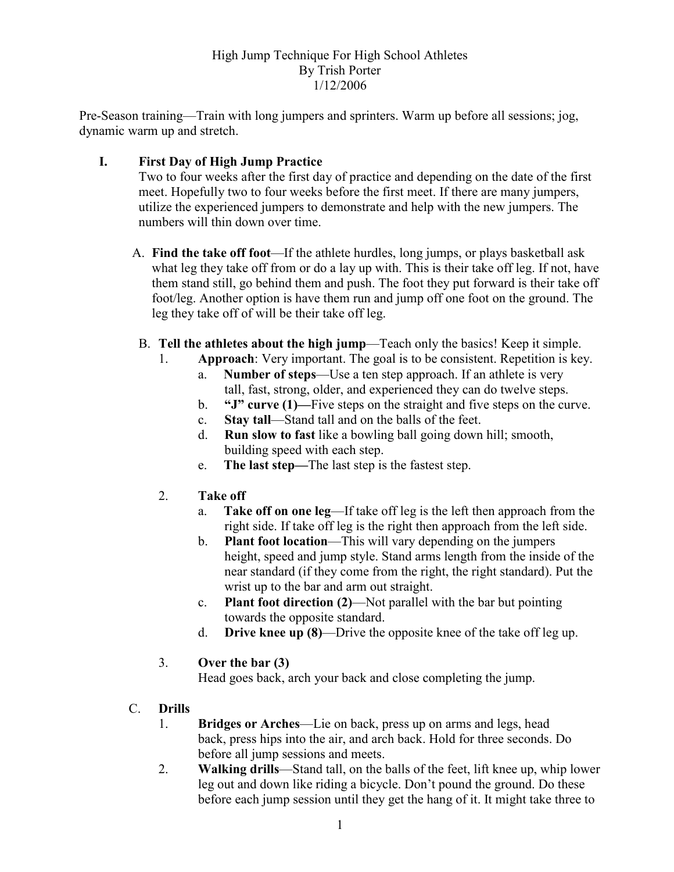#### High Jump Technique For High School Athletes By Trish Porter 1/12/2006

Pre-Season training—Train with long jumpers and sprinters. Warm up before all sessions; jog, dynamic warm up and stretch.

## I. First Day of High Jump Practice

Two to four weeks after the first day of practice and depending on the date of the first meet. Hopefully two to four weeks before the first meet. If there are many jumpers, utilize the experienced jumpers to demonstrate and help with the new jumpers. The numbers will thin down over time.

- A. Find the take off foot—If the athlete hurdles, long jumps, or plays basketball ask what leg they take off from or do a lay up with. This is their take off leg. If not, have them stand still, go behind them and push. The foot they put forward is their take off foot/leg. Another option is have them run and jump off one foot on the ground. The leg they take off of will be their take off leg.
- B. Tell the athletes about the high jump—Teach only the basics! Keep it simple.
	- 1. Approach: Very important. The goal is to be consistent. Repetition is key.
		- a. Number of steps—Use a ten step approach. If an athlete is very tall, fast, strong, older, and experienced they can do twelve steps.
		- b. "J" curve (1)—Five steps on the straight and five steps on the curve.
		- c. Stay tall—Stand tall and on the balls of the feet.
		- d. Run slow to fast like a bowling ball going down hill; smooth, building speed with each step.
		- e. The last step—The last step is the fastest step.
	- 2. Take off
		- a. Take off on one leg—If take off leg is the left then approach from the right side. If take off leg is the right then approach from the left side.
		- b. Plant foot location—This will vary depending on the jumpers height, speed and jump style. Stand arms length from the inside of the near standard (if they come from the right, the right standard). Put the wrist up to the bar and arm out straight.
		- c. Plant foot direction (2)—Not parallel with the bar but pointing towards the opposite standard.
		- d. Drive knee up (8)—Drive the opposite knee of the take off leg up.

## 3. Over the bar (3)

Head goes back, arch your back and close completing the jump.

# C. Drills

- 1. Bridges or Arches—Lie on back, press up on arms and legs, head back, press hips into the air, and arch back. Hold for three seconds. Do before all jump sessions and meets.
- 2. Walking drills—Stand tall, on the balls of the feet, lift knee up, whip lower leg out and down like riding a bicycle. Don't pound the ground. Do these before each jump session until they get the hang of it. It might take three to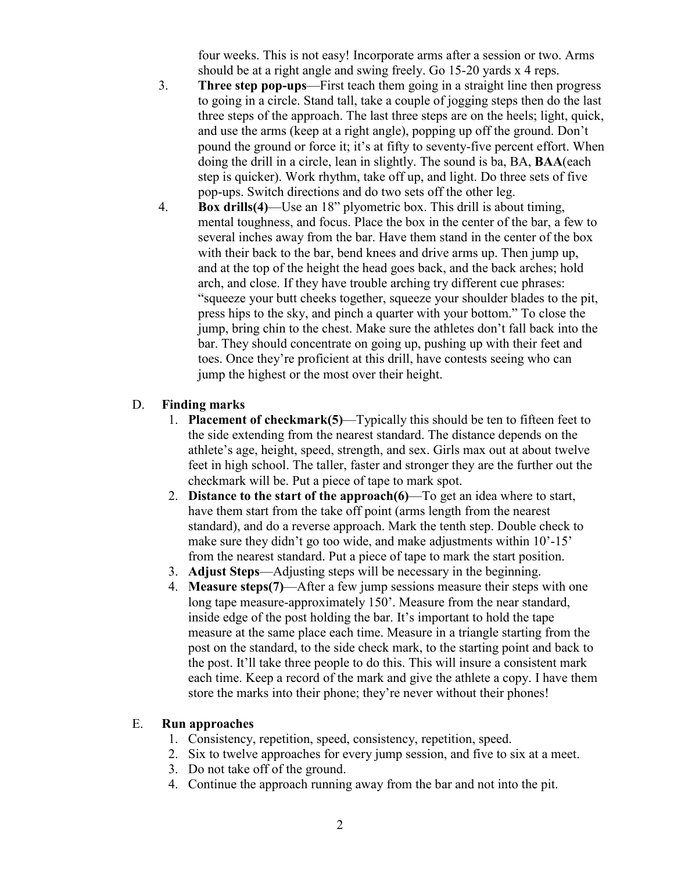four weeks. This is not easy! Incorporate arms after a session or two. Arms should be at a right angle and swing freely. Go 15-20 yards x 4 reps.

- 3. Three step pop-ups—First teach them going in a straight line then progress to going in a circle. Stand tall, take a couple of jogging steps then do the last three steps of the approach. The last three steps are on the heels; light, quick, and use the arms (keep at a right angle), popping up off the ground. Don't pound the ground or force it; it's at fifty to seventy-five percent effort. When doing the drill in a circle, lean in slightly. The sound is ba, BA, BAA(each step is quicker). Work rhythm, take off up, and light. Do three sets of five pop-ups. Switch directions and do two sets off the other leg.
- 4. Box drills(4)—Use an 18" plyometric box. This drill is about timing, mental toughness, and focus. Place the box in the center of the bar, a few to several inches away from the bar. Have them stand in the center of the box with their back to the bar, bend knees and drive arms up. Then jump up, and at the top of the height the head goes back, and the back arches; hold arch, and close. If they have trouble arching try different cue phrases: "squeeze your butt cheeks together, squeeze your shoulder blades to the pit, press hips to the sky, and pinch a quarter with your bottom." To close the jump, bring chin to the chest. Make sure the athletes don't fall back into the bar. They should concentrate on going up, pushing up with their feet and toes. Once they're proficient at this drill, have contests seeing who can jump the highest or the most over their height.

## D. Finding marks

- 1. **Placement of checkmark(5)—**Typically this should be ten to fifteen feet to the side extending from the nearest standard. The distance depends on the athlete's age, height, speed, strength, and sex. Girls max out at about twelve feet in high school. The taller, faster and stronger they are the further out the checkmark will be. Put a piece of tape to mark spot.
- 2. Distance to the start of the approach $(6)$ —To get an idea where to start, have them start from the take off point (arms length from the nearest standard), and do a reverse approach. Mark the tenth step. Double check to make sure they didn't go too wide, and make adjustments within 10'-15' from the nearest standard. Put a piece of tape to mark the start position.
- 3. Adjust Steps—Adjusting steps will be necessary in the beginning.
- 4. Measure steps(7)—After a few jump sessions measure their steps with one long tape measure-approximately 150'. Measure from the near standard, inside edge of the post holding the bar. It's important to hold the tape measure at the same place each time. Measure in a triangle starting from the post on the standard, to the side check mark, to the starting point and back to the post. It'll take three people to do this. This will insure a consistent mark each time. Keep a record of the mark and give the athlete a copy. I have them store the marks into their phone; they're never without their phones!

#### E. Run approaches

- 1. Consistency, repetition, speed, consistency, repetition, speed.
- 2. Six to twelve approaches for every jump session, and five to six at a meet.
- 3. Do not take off of the ground.
- 4. Continue the approach running away from the bar and not into the pit.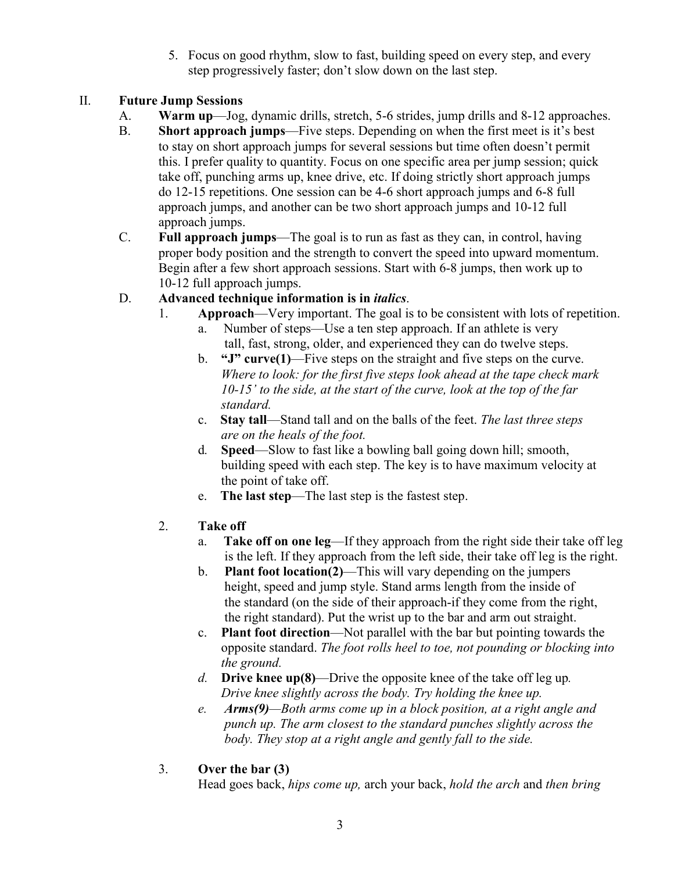5. Focus on good rhythm, slow to fast, building speed on every step, and every step progressively faster; don't slow down on the last step.

# II. Future Jump Sessions

- A. Warm up—Jog, dynamic drills, stretch, 5-6 strides, jump drills and 8-12 approaches.
- B. Short approach jumps—Five steps. Depending on when the first meet is it's best to stay on short approach jumps for several sessions but time often doesn't permit this. I prefer quality to quantity. Focus on one specific area per jump session; quick take off, punching arms up, knee drive, etc. If doing strictly short approach jumps do 12-15 repetitions. One session can be 4-6 short approach jumps and 6-8 full approach jumps, and another can be two short approach jumps and 10-12 full approach jumps.
- C. Full approach jumps—The goal is to run as fast as they can, in control, having proper body position and the strength to convert the speed into upward momentum. Begin after a few short approach sessions. Start with 6-8 jumps, then work up to 10-12 full approach jumps.

# D. Advanced technique information is in *italics*.

- 1. Approach—Very important. The goal is to be consistent with lots of repetition.
	- a. Number of steps—Use a ten step approach. If an athlete is very tall, fast, strong, older, and experienced they can do twelve steps.
	- b. "J" curve(1)—Five steps on the straight and five steps on the curve. Where to look: for the first five steps look ahead at the tape check mark 10-15' to the side, at the start of the curve, look at the top of the far standard.
	- c. Stay tall—Stand tall and on the balls of the feet. The last three steps are on the heals of the foot.
	- d. Speed—Slow to fast like a bowling ball going down hill; smooth, building speed with each step. The key is to have maximum velocity at the point of take off.
	- e. The last step—The last step is the fastest step.
- 2. Take off
	- a. Take off on one leg—If they approach from the right side their take off leg is the left. If they approach from the left side, their take off leg is the right.
	- b. Plant foot location(2)—This will vary depending on the jumpers height, speed and jump style. Stand arms length from the inside of the standard (on the side of their approach-if they come from the right, the right standard). Put the wrist up to the bar and arm out straight.
	- c. Plant foot direction—Not parallel with the bar but pointing towards the opposite standard. The foot rolls heel to toe, not pounding or blocking into the ground.
	- d. **Drive knee up(8)—Drive** the opposite knee of the take off leg up. Drive knee slightly across the body. Try holding the knee up.
	- e. Arms(9)—Both arms come up in a block position, at a right angle and punch up. The arm closest to the standard punches slightly across the body. They stop at a right angle and gently fall to the side.
- 3. Over the bar (3)

Head goes back, hips come up, arch your back, hold the arch and then bring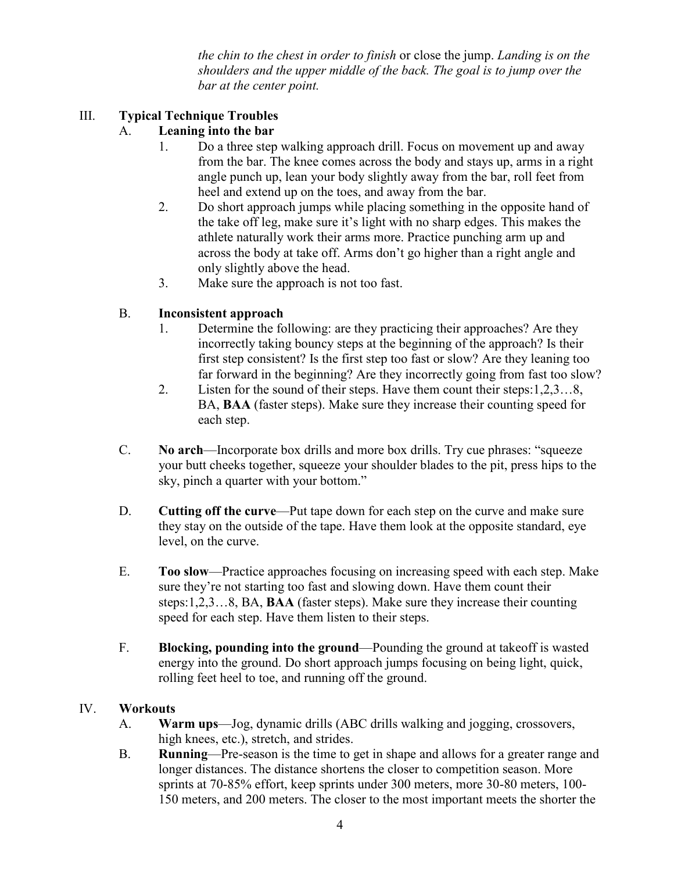the chin to the chest in order to finish or close the jump. Landing is on the shoulders and the upper middle of the back. The goal is to jump over the bar at the center point.

## III. Typical Technique Troubles

## A. Leaning into the bar

- 1. Do a three step walking approach drill. Focus on movement up and away from the bar. The knee comes across the body and stays up, arms in a right angle punch up, lean your body slightly away from the bar, roll feet from heel and extend up on the toes, and away from the bar.
- 2. Do short approach jumps while placing something in the opposite hand of the take off leg, make sure it's light with no sharp edges. This makes the athlete naturally work their arms more. Practice punching arm up and across the body at take off. Arms don't go higher than a right angle and only slightly above the head.
- 3. Make sure the approach is not too fast.

## B. Inconsistent approach

- 1. Determine the following: are they practicing their approaches? Are they incorrectly taking bouncy steps at the beginning of the approach? Is their first step consistent? Is the first step too fast or slow? Are they leaning too far forward in the beginning? Are they incorrectly going from fast too slow?
- 2. Listen for the sound of their steps. Have them count their steps:1,2,3…8, BA, BAA (faster steps). Make sure they increase their counting speed for each step.
- C. No arch—Incorporate box drills and more box drills. Try cue phrases: "squeeze your butt cheeks together, squeeze your shoulder blades to the pit, press hips to the sky, pinch a quarter with your bottom."
- D. Cutting off the curve—Put tape down for each step on the curve and make sure they stay on the outside of the tape. Have them look at the opposite standard, eye level, on the curve.
- E. Too slow—Practice approaches focusing on increasing speed with each step. Make sure they're not starting too fast and slowing down. Have them count their steps:1,2,3…8, BA, BAA (faster steps). Make sure they increase their counting speed for each step. Have them listen to their steps.
- F. Blocking, pounding into the ground—Pounding the ground at takeoff is wasted energy into the ground. Do short approach jumps focusing on being light, quick, rolling feet heel to toe, and running off the ground.

## IV. Workouts

- A. Warm ups—Jog, dynamic drills (ABC drills walking and jogging, crossovers, high knees, etc.), stretch, and strides.
- B. Running—Pre-season is the time to get in shape and allows for a greater range and longer distances. The distance shortens the closer to competition season. More sprints at 70-85% effort, keep sprints under 300 meters, more 30-80 meters, 100- 150 meters, and 200 meters. The closer to the most important meets the shorter the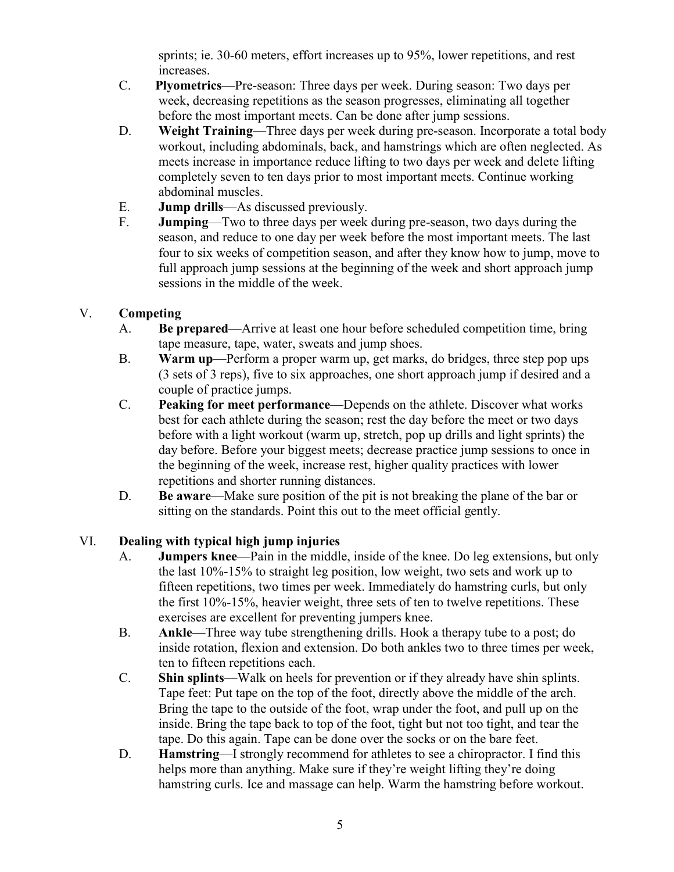sprints; ie. 30-60 meters, effort increases up to 95%, lower repetitions, and rest increases.

- C. Plyometrics—Pre-season: Three days per week. During season: Two days per week, decreasing repetitions as the season progresses, eliminating all together before the most important meets. Can be done after jump sessions.
- D. Weight Training—Three days per week during pre-season. Incorporate a total body workout, including abdominals, back, and hamstrings which are often neglected. As meets increase in importance reduce lifting to two days per week and delete lifting completely seven to ten days prior to most important meets. Continue working abdominal muscles.
- E. Jump drills—As discussed previously.
- F. Jumping—Two to three days per week during pre-season, two days during the season, and reduce to one day per week before the most important meets. The last four to six weeks of competition season, and after they know how to jump, move to full approach jump sessions at the beginning of the week and short approach jump sessions in the middle of the week.

## V. Competing

- A. Be prepared—Arrive at least one hour before scheduled competition time, bring tape measure, tape, water, sweats and jump shoes.
- B. Warm up—Perform a proper warm up, get marks, do bridges, three step pop ups (3 sets of 3 reps), five to six approaches, one short approach jump if desired and a couple of practice jumps.
- C. Peaking for meet performance—Depends on the athlete. Discover what works best for each athlete during the season; rest the day before the meet or two days before with a light workout (warm up, stretch, pop up drills and light sprints) the day before. Before your biggest meets; decrease practice jump sessions to once in the beginning of the week, increase rest, higher quality practices with lower repetitions and shorter running distances.
- D. Be aware—Make sure position of the pit is not breaking the plane of the bar or sitting on the standards. Point this out to the meet official gently.

## VI. Dealing with typical high jump injuries

- A. Jumpers knee—Pain in the middle, inside of the knee. Do leg extensions, but only the last 10%-15% to straight leg position, low weight, two sets and work up to fifteen repetitions, two times per week. Immediately do hamstring curls, but only the first 10%-15%, heavier weight, three sets of ten to twelve repetitions. These exercises are excellent for preventing jumpers knee.
- B. Ankle—Three way tube strengthening drills. Hook a therapy tube to a post; do inside rotation, flexion and extension. Do both ankles two to three times per week, ten to fifteen repetitions each.
- C. Shin splints—Walk on heels for prevention or if they already have shin splints. Tape feet: Put tape on the top of the foot, directly above the middle of the arch. Bring the tape to the outside of the foot, wrap under the foot, and pull up on the inside. Bring the tape back to top of the foot, tight but not too tight, and tear the tape. Do this again. Tape can be done over the socks or on the bare feet.
- D. Hamstring—I strongly recommend for athletes to see a chiropractor. I find this helps more than anything. Make sure if they're weight lifting they're doing hamstring curls. Ice and massage can help. Warm the hamstring before workout.